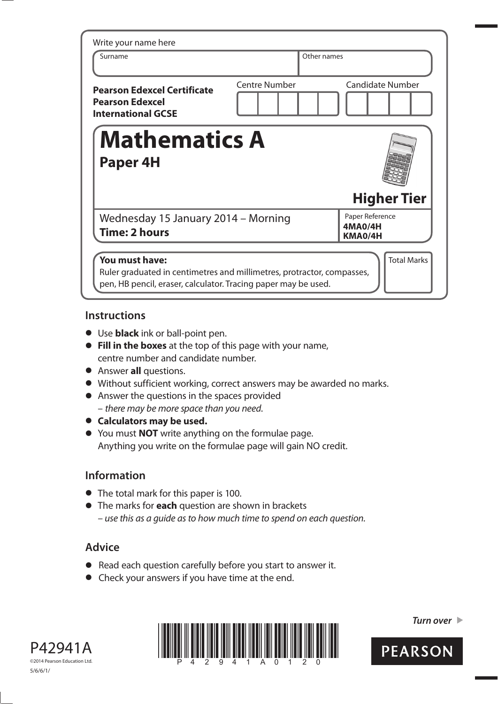| Write your name here                                                                      |                      |                                       |                         |
|-------------------------------------------------------------------------------------------|----------------------|---------------------------------------|-------------------------|
| Surname                                                                                   |                      | Other names                           |                         |
| <b>Pearson Edexcel Certificate</b><br><b>Pearson Edexcel</b><br><b>International GCSE</b> | <b>Centre Number</b> |                                       | <b>Candidate Number</b> |
| <b>Mathematics A</b>                                                                      |                      |                                       |                         |
| <b>Paper 4H</b>                                                                           |                      |                                       |                         |
|                                                                                           |                      |                                       | <b>Higher Tier</b>      |
| Wednesday 15 January 2014 - Morning<br><b>Time: 2 hours</b>                               |                      | Paper Reference<br>4MA0/4H<br>KMA0/4H |                         |
| You must have:                                                                            |                      |                                       | <b>Total Marks</b>      |

## **Instructions**

- **t** Use **black** ink or ball-point pen.
- **Fill in the boxes** at the top of this page with your name, centre number and candidate number.
- **•** Answer **all** questions.
- **t** Without sufficient working, correct answers may be awarded no marks.
- **•** Answer the questions in the spaces provided – there may be more space than you need.
- $\bullet$  Calculators may be used.
- **t** You must **NOT** write anything on the formulae page. Anything you write on the formulae page will gain NO credit.

## **Information**

- **•** The total mark for this paper is 100.
- **t** The marks for **each** question are shown in brackets – use this as a guide as to how much time to spend on each question.

## **Advice**

- **t** Read each question carefully before you start to answer it.
- **•** Check your answers if you have time at the end.





*Turn over* 

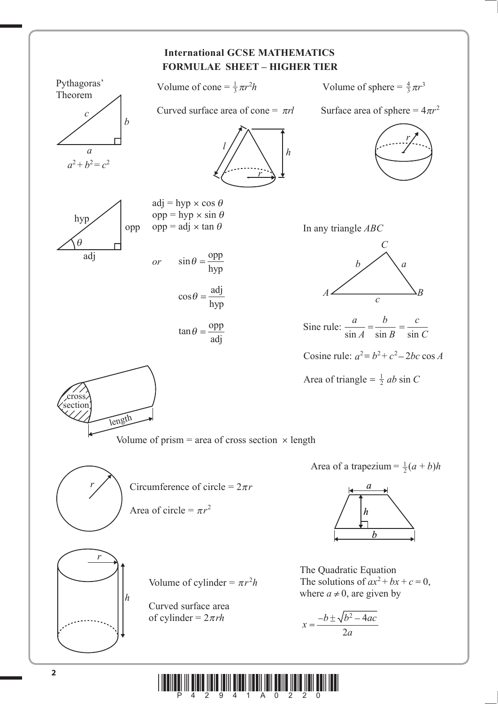

**\* A** 2011 And <sup>2</sup> and <sup>2</sup> and <sup>3</sup> and <sup>3</sup> and <sup>2</sup> and <sup>2</sup> and <sup>2</sup> and <sup>2</sup> and 2 and 2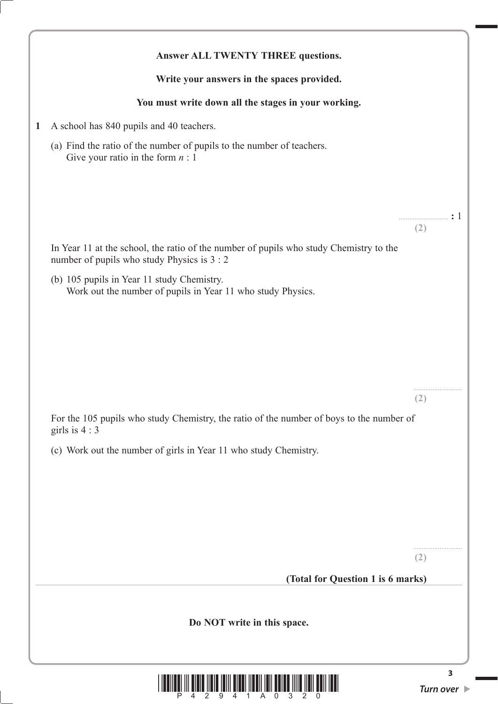|              | Answer ALL TWENTY THREE questions.                                                                                                                                             |                                      |
|--------------|--------------------------------------------------------------------------------------------------------------------------------------------------------------------------------|--------------------------------------|
|              | Write your answers in the spaces provided.                                                                                                                                     |                                      |
|              | You must write down all the stages in your working.                                                                                                                            |                                      |
| $\mathbf{1}$ | A school has 840 pupils and 40 teachers.                                                                                                                                       |                                      |
|              | (a) Find the ratio of the number of pupils to the number of teachers.<br>Give your ratio in the form $n:1$                                                                     |                                      |
|              | In Year 11 at the school, the ratio of the number of pupils who study Chemistry to the<br>number of pupils who study Physics is 3 : 2                                          | (2)                                  |
|              | (b) 105 pupils in Year 11 study Chemistry.<br>Work out the number of pupils in Year 11 who study Physics.                                                                      |                                      |
|              | For the 105 pupils who study Chemistry, the ratio of the number of boys to the number of<br>girls is $4:3$<br>(c) Work out the number of girls in Year 11 who study Chemistry. | $(\angle)$                           |
|              | (Total for Question 1 is 6 marks)                                                                                                                                              | (2)                                  |
|              | Do NOT write in this space.                                                                                                                                                    |                                      |
|              |                                                                                                                                                                                | 3<br>Turn over $\blacktriangleright$ |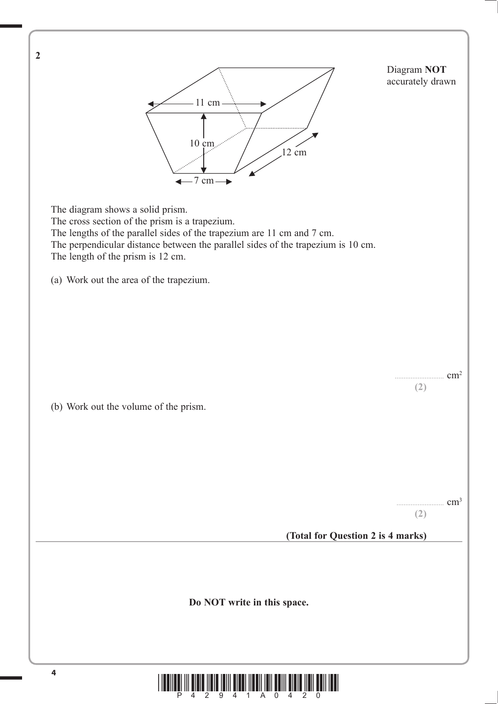

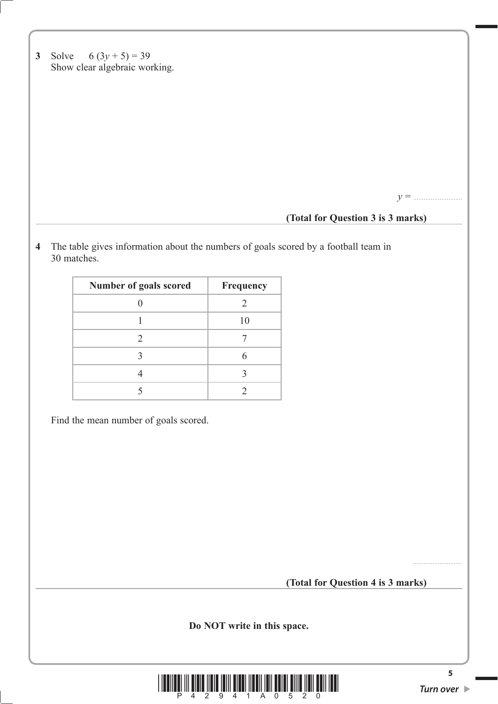|  | 3 Solve $6(3y+5) = 39$        |
|--|-------------------------------|
|  | Show clear algebraic working. |

*y* = ............................

## **(Total for Question 3 is 3 marks)**

**4** The table gives information about the numbers of goals scored by a football team in 30 matches.

Find the mean number of goals scored.

**(Total for Question 4 is 3 marks)**

**Do NOT write in this space.**

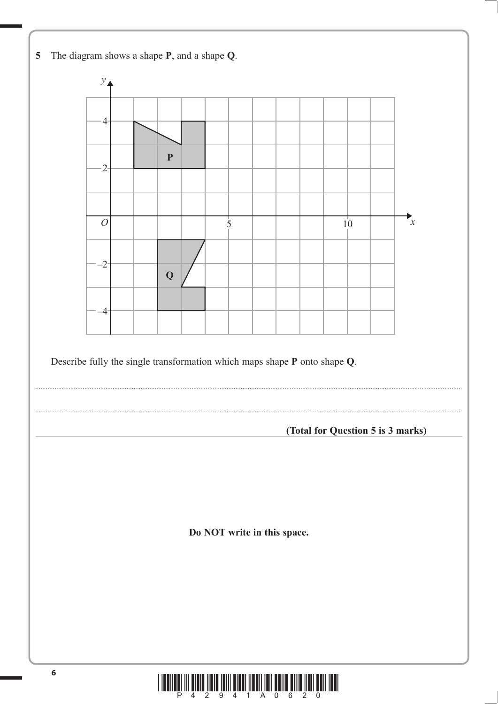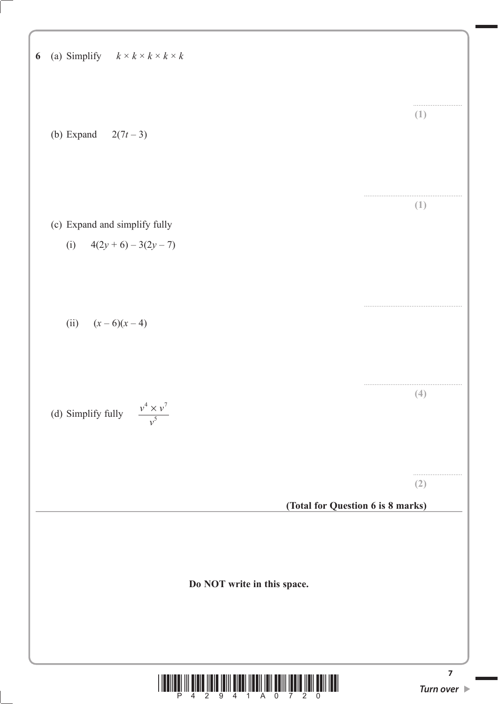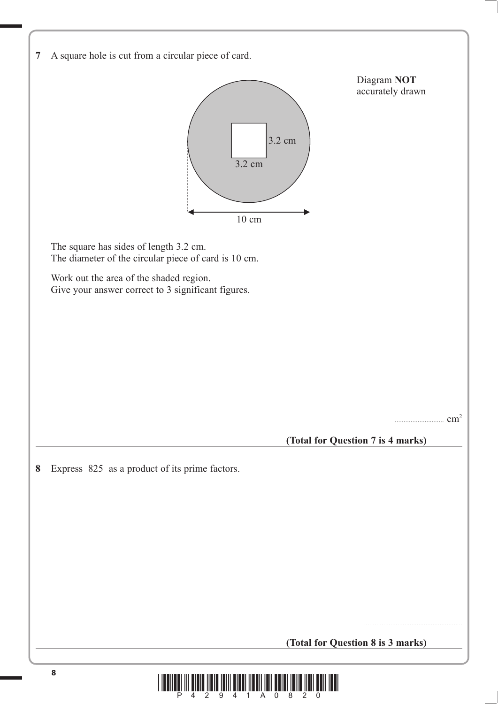| 7 A square hole is cut from a circular piece of card. |  |  |  |
|-------------------------------------------------------|--|--|--|
|                                                       |  |  |  |



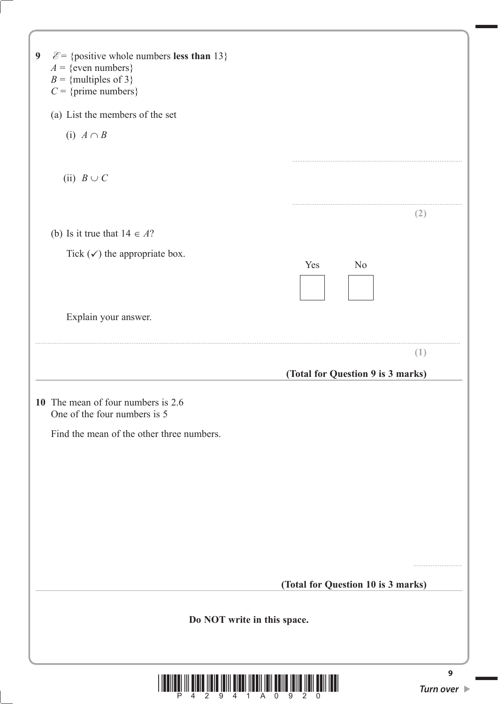| $\mathcal{E}$ = {positive whole numbers less than 13}<br>9<br>$A = \{$ even numbers $\}$<br>$B =$ {multiples of 3}<br>$C = \{prime \}$ numbers $\}$ |                                    |
|-----------------------------------------------------------------------------------------------------------------------------------------------------|------------------------------------|
| (a) List the members of the set                                                                                                                     |                                    |
| (i) $A \cap B$                                                                                                                                      |                                    |
|                                                                                                                                                     |                                    |
| (ii) $B \cup C$                                                                                                                                     |                                    |
|                                                                                                                                                     | (2)                                |
| (b) Is it true that $14 \in A$ ?                                                                                                                    |                                    |
| Tick $(\checkmark)$ the appropriate box.                                                                                                            |                                    |
| Yes                                                                                                                                                 | N <sub>o</sub>                     |
|                                                                                                                                                     |                                    |
| Explain your answer.                                                                                                                                |                                    |
|                                                                                                                                                     | (1)                                |
|                                                                                                                                                     | (Total for Question 9 is 3 marks)  |
|                                                                                                                                                     |                                    |
| 10 The mean of four numbers is 2.6<br>One of the four numbers is 5                                                                                  |                                    |
| Find the mean of the other three numbers.                                                                                                           |                                    |
|                                                                                                                                                     |                                    |
|                                                                                                                                                     |                                    |
|                                                                                                                                                     |                                    |
|                                                                                                                                                     |                                    |
|                                                                                                                                                     |                                    |
|                                                                                                                                                     |                                    |
|                                                                                                                                                     |                                    |
|                                                                                                                                                     | (Total for Question 10 is 3 marks) |
| Do NOT write in this space.                                                                                                                         |                                    |
|                                                                                                                                                     | $\mathbf{9}$                       |
|                                                                                                                                                     | Turn over $\blacktriangleright$    |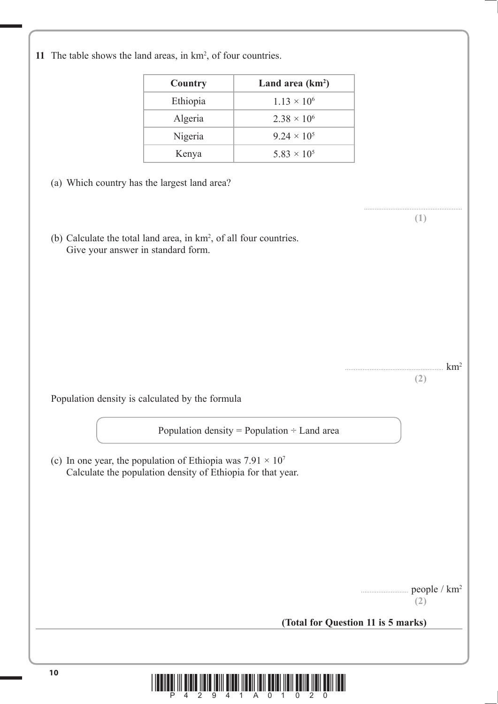| 11 The table shows the land areas, in $km^2$ , of four countries. |  |
|-------------------------------------------------------------------|--|
|-------------------------------------------------------------------|--|

| Country  | Land area $(km^2)$            |
|----------|-------------------------------|
| Ethiopia | $1.13 \times 10^{6}$          |
| Algeria  | $2.38 \times 10^{6}$          |
| Nigeria  | $9.24 \times 10^5$            |
| Kenya    | 5.83 $\times$ 10 <sup>5</sup> |

(a) Which country has the largest land area?

(b) Calculate the total land area, in  $km^2$ , of all four countries. Give your answer in standard form.

> $\text{km}^2$ **(2)**

........................................................ **(1)**

Population density is calculated by the formula

Population density = Population  $\div$  Land area

(c) In one year, the population of Ethiopia was  $7.91 \times 10^7$ Calculate the population density of Ethiopia for that year.

people / km<sup>2</sup>

**(2)**

**(Total for Question 11 is 5 marks)**

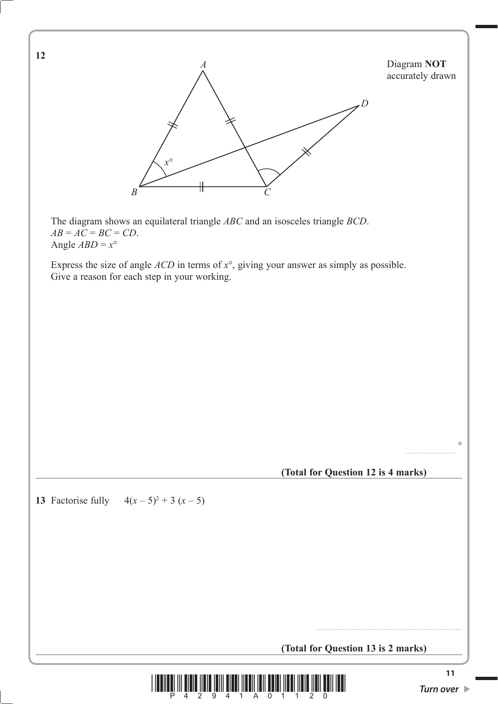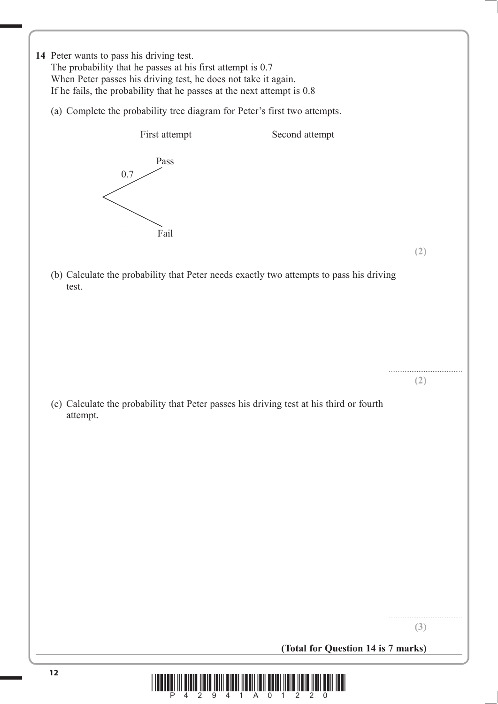- **14** Peter wants to pass his driving test. The probability that he passes at his first attempt is 0.7 When Peter passes his driving test, he does not take it again. If he fails, the probability that he passes at the next attempt is 0.8
	- (a) Complete the probability tree diagram for Peter's first two attempts.



**(2)**

.......................................... **(2)**

 (b) Calculate the probability that Peter needs exactly two attempts to pass his driving test.

 (c) Calculate the probability that Peter passes his driving test at his third or fourth attempt.

**(3)**

**(Total for Question 14 is 7 marks)**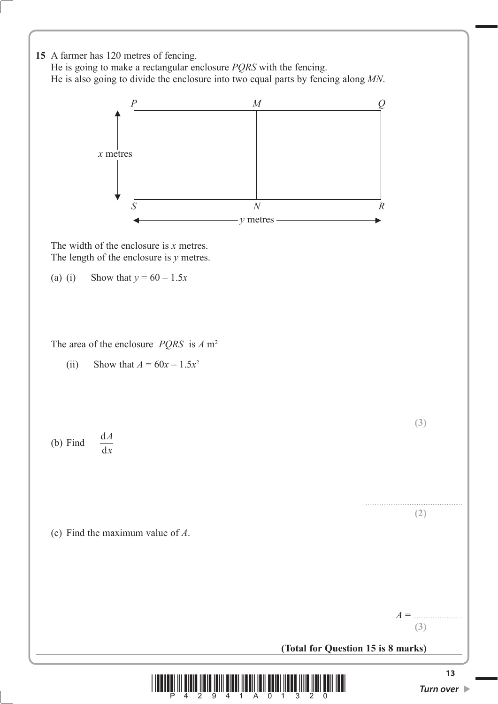

 He is going to make a rectangular enclosure *PQRS* with the fencing. He is also going to divide the enclosure into two equal parts by fencing along *MN*.



**(Total for Question 15 is 8 marks)**

**(3)**

**(2)**

**(3)**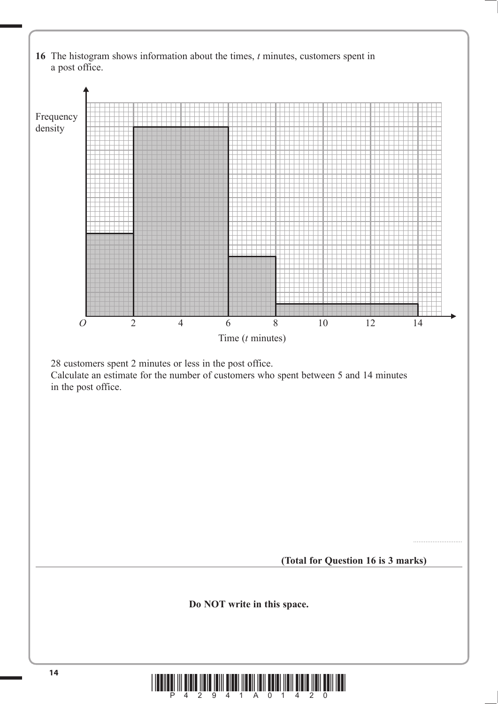

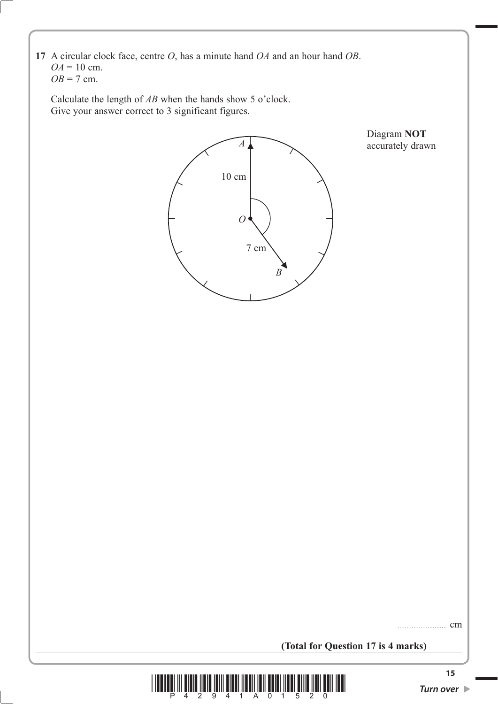**17** A circular clock face, centre *O*, has a minute hand *OA* and an hour hand *OB*.  $OA = 10$  cm.  $OB = 7$  cm.

 Calculate the length of *AB* when the hands show 5 o'clock. Give your answer correct to 3 significant figures.



Diagram **NOT** 

**(Total for Question 17 is 4 marks)**



cm.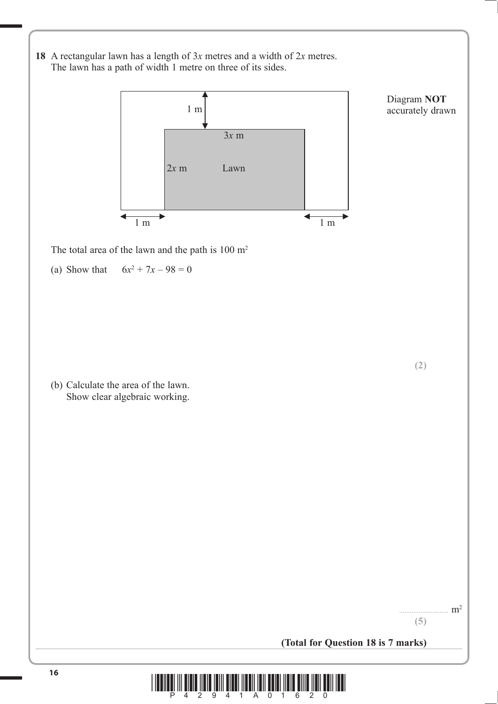**18** A rectangular lawn has a length of 3*x* metres and a width of 2*x* metres. The lawn has a path of width 1 metre on three of its sides.



Diagram **NOT**  accurately drawn

**(2)**

The total area of the lawn and the path is  $100 \text{ m}^2$ 

(a) Show that  $6x^2 + 7x - 98 = 0$ 

 (b) Calculate the area of the lawn. Show clear algebraic working.

 $m<sup>2</sup>$ 

**(5)**

**(Total for Question 18 is 7 marks)**

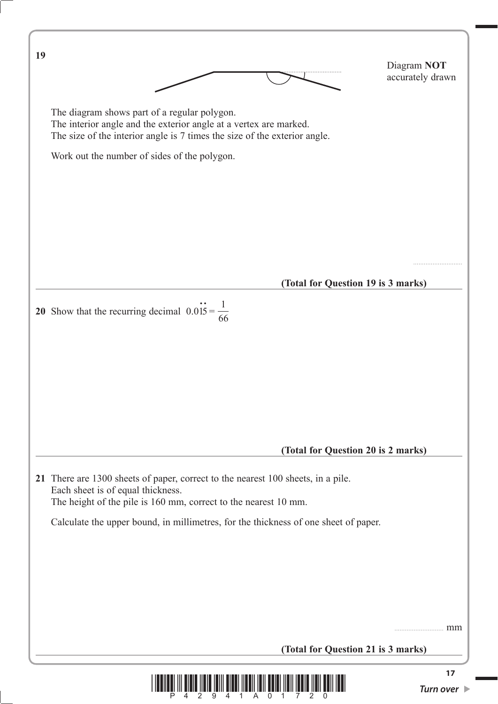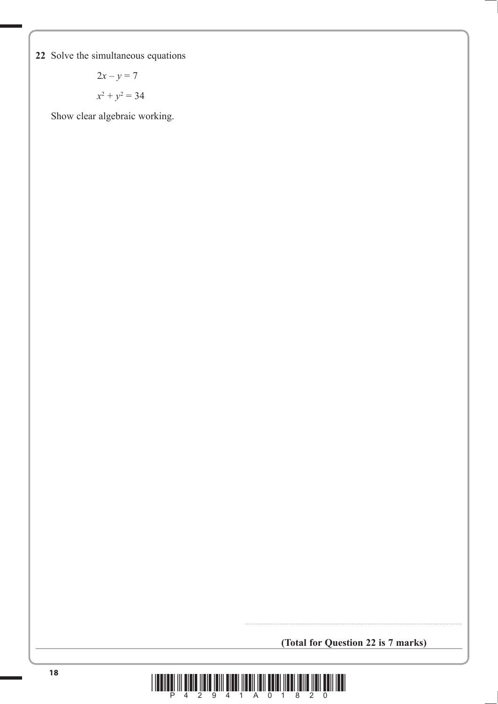**22** Solve the simultaneous equations

$$
2x - y = 7
$$

$$
x^2 + y^2 = 34
$$

Show clear algebraic working.

**(Total for Question 22 is 7 marks)**

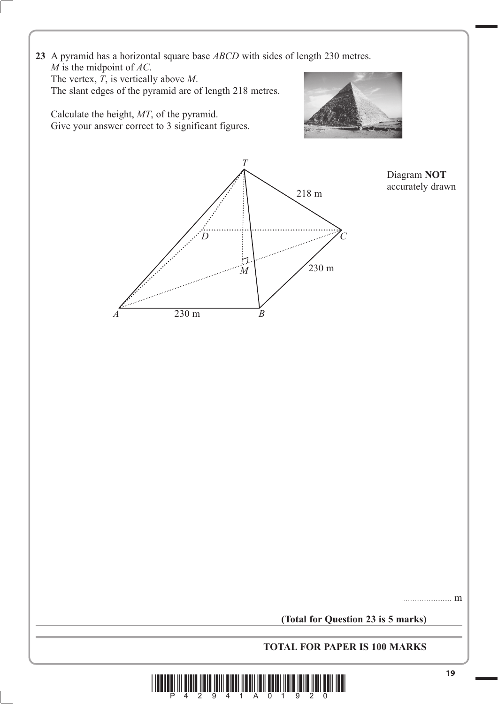